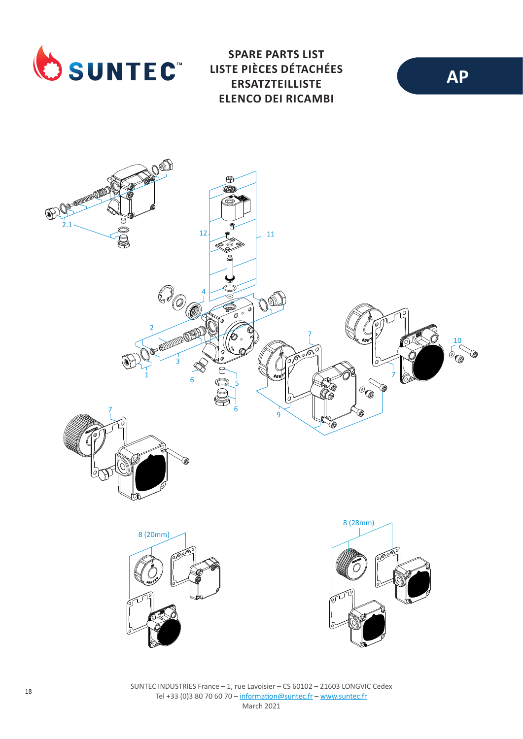

**SPARE PARTS LIST LISTE PIÈCES DÉTACHÉES ERSATZTEILLISTE ELENCO DEI RICAMBI**



SUNTEC INDUSTRIES France – 1, rue Lavoisier – CS 60102 – 21603 LONGVIC Cedex Tel +33 (0)3 80 70 60 70 – information@suntec.fr – www.suntec.fr March 2021